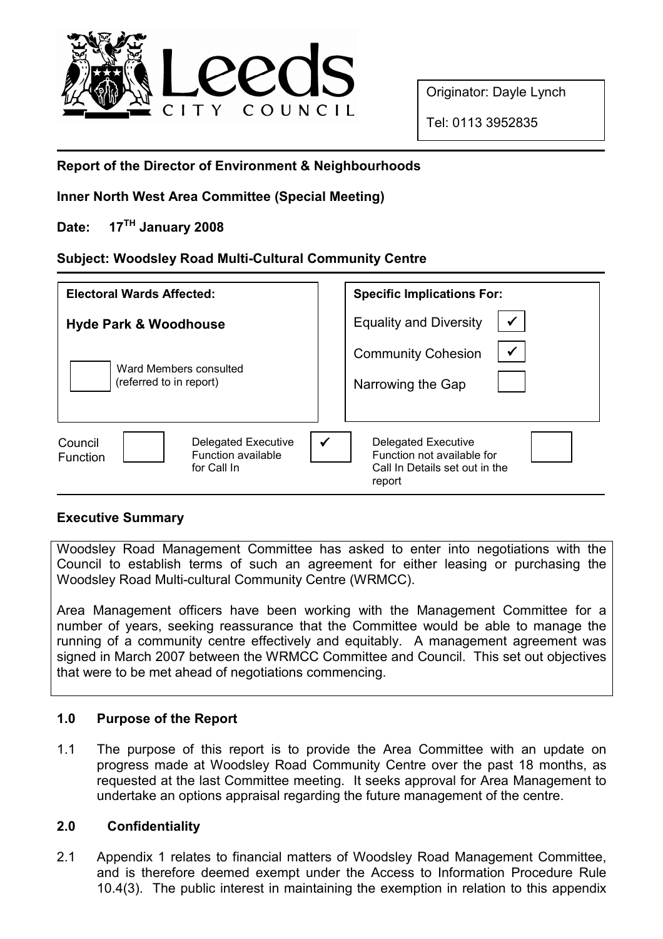

Originator: Dayle Lynch

Tel: 0113 3952835

# Report of the Director of Environment & Neighbourhoods

Inner North West Area Committee (Special Meeting)

Date: 17<sup>TH</sup> January 2008

# Subject: Woodsley Road Multi-Cultural Community Centre

| <b>Electoral Wards Affected:</b>                                                              | <b>Specific Implications For:</b>                                                                                    |
|-----------------------------------------------------------------------------------------------|----------------------------------------------------------------------------------------------------------------------|
| <b>Hyde Park &amp; Woodhouse</b>                                                              | $\checkmark$<br><b>Equality and Diversity</b>                                                                        |
| Ward Members consulted<br>(referred to in report)                                             | $\checkmark$<br><b>Community Cohesion</b><br>Narrowing the Gap                                                       |
| <b>Delegated Executive</b><br>Council<br>Function available<br><b>Function</b><br>for Call In | $\checkmark$<br><b>Delegated Executive</b><br>Function not available for<br>Call In Details set out in the<br>report |

## Executive Summary

Woodsley Road Management Committee has asked to enter into negotiations with the Council to establish terms of such an agreement for either leasing or purchasing the Woodsley Road Multi-cultural Community Centre (WRMCC).

Area Management officers have been working with the Management Committee for a number of years, seeking reassurance that the Committee would be able to manage the running of a community centre effectively and equitably. A management agreement was signed in March 2007 between the WRMCC Committee and Council. This set out objectives that were to be met ahead of negotiations commencing.

## 1.0 Purpose of the Report

1.1 The purpose of this report is to provide the Area Committee with an update on progress made at Woodsley Road Community Centre over the past 18 months, as requested at the last Committee meeting. It seeks approval for Area Management to undertake an options appraisal regarding the future management of the centre.

## 2.0 Confidentiality

2.1 Appendix 1 relates to financial matters of Woodsley Road Management Committee, and is therefore deemed exempt under the Access to Information Procedure Rule 10.4(3). The public interest in maintaining the exemption in relation to this appendix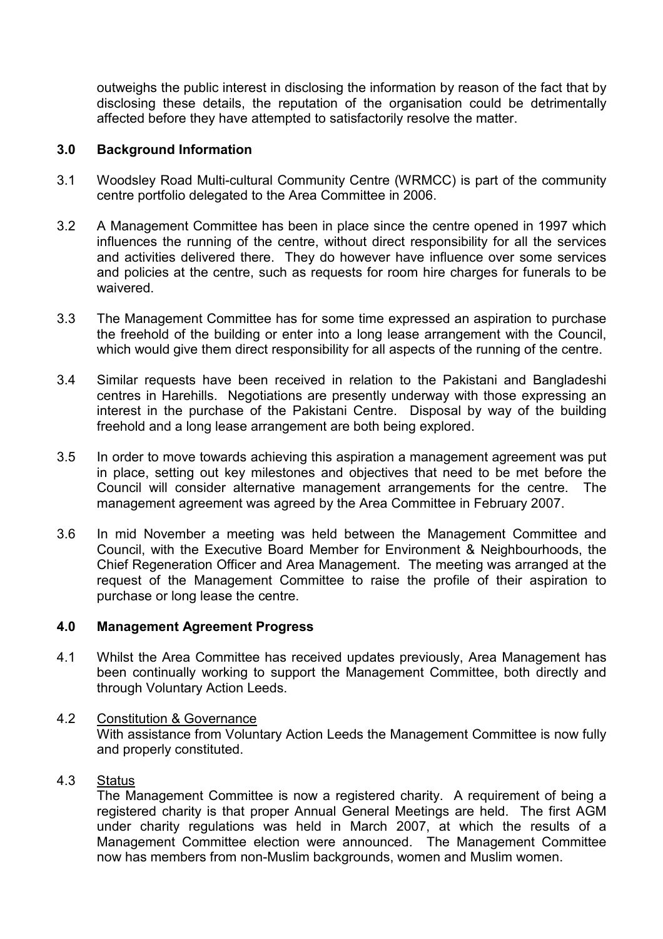outweighs the public interest in disclosing the information by reason of the fact that by disclosing these details, the reputation of the organisation could be detrimentally affected before they have attempted to satisfactorily resolve the matter.

## 3.0 Background Information

- 3.1 Woodsley Road Multi-cultural Community Centre (WRMCC) is part of the community centre portfolio delegated to the Area Committee in 2006.
- 3.2 A Management Committee has been in place since the centre opened in 1997 which influences the running of the centre, without direct responsibility for all the services and activities delivered there. They do however have influence over some services and policies at the centre, such as requests for room hire charges for funerals to be waivered.
- 3.3 The Management Committee has for some time expressed an aspiration to purchase the freehold of the building or enter into a long lease arrangement with the Council, which would give them direct responsibility for all aspects of the running of the centre.
- 3.4 Similar requests have been received in relation to the Pakistani and Bangladeshi centres in Harehills. Negotiations are presently underway with those expressing an interest in the purchase of the Pakistani Centre. Disposal by way of the building freehold and a long lease arrangement are both being explored.
- 3.5 In order to move towards achieving this aspiration a management agreement was put in place, setting out key milestones and objectives that need to be met before the Council will consider alternative management arrangements for the centre. The management agreement was agreed by the Area Committee in February 2007.
- 3.6 In mid November a meeting was held between the Management Committee and Council, with the Executive Board Member for Environment & Neighbourhoods, the Chief Regeneration Officer and Area Management. The meeting was arranged at the request of the Management Committee to raise the profile of their aspiration to purchase or long lease the centre.

### 4.0 Management Agreement Progress

- 4.1 Whilst the Area Committee has received updates previously, Area Management has been continually working to support the Management Committee, both directly and through Voluntary Action Leeds.
- 4.2 Constitution & Governance With assistance from Voluntary Action Leeds the Management Committee is now fully and properly constituted.
- 4.3 Status

 The Management Committee is now a registered charity. A requirement of being a registered charity is that proper Annual General Meetings are held. The first AGM under charity regulations was held in March 2007, at which the results of a Management Committee election were announced. The Management Committee now has members from non-Muslim backgrounds, women and Muslim women.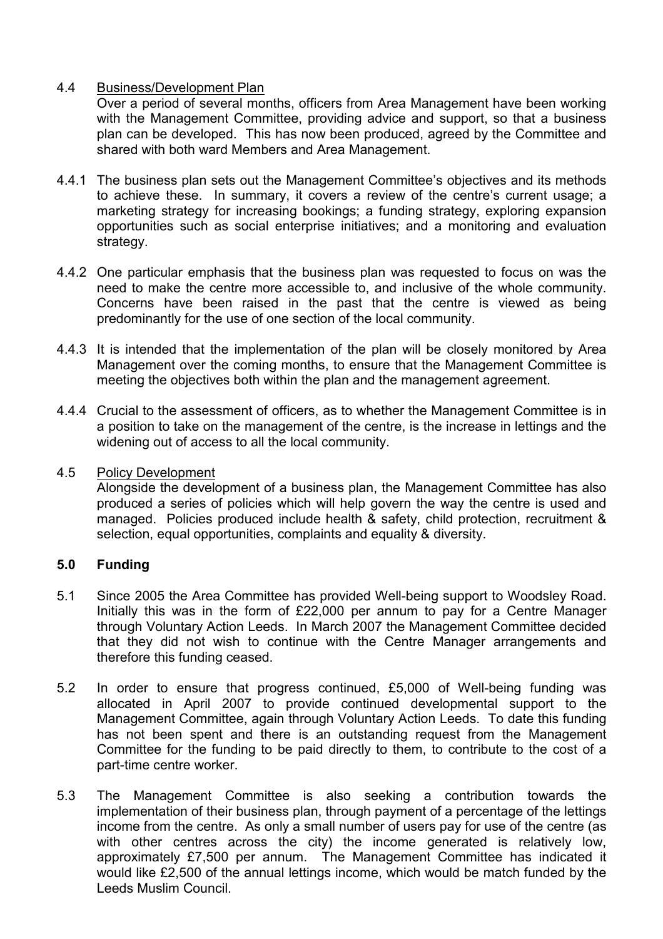### 4.4 Business/Development Plan

 Over a period of several months, officers from Area Management have been working with the Management Committee, providing advice and support, so that a business plan can be developed. This has now been produced, agreed by the Committee and shared with both ward Members and Area Management.

- 4.4.1 The business plan sets out the Management Committee's objectives and its methods to achieve these. In summary, it covers a review of the centre's current usage; a marketing strategy for increasing bookings; a funding strategy, exploring expansion opportunities such as social enterprise initiatives; and a monitoring and evaluation strategy.
- 4.4.2 One particular emphasis that the business plan was requested to focus on was the need to make the centre more accessible to, and inclusive of the whole community. Concerns have been raised in the past that the centre is viewed as being predominantly for the use of one section of the local community.
- 4.4.3 It is intended that the implementation of the plan will be closely monitored by Area Management over the coming months, to ensure that the Management Committee is meeting the objectives both within the plan and the management agreement.
- 4.4.4 Crucial to the assessment of officers, as to whether the Management Committee is in a position to take on the management of the centre, is the increase in lettings and the widening out of access to all the local community.

#### 4.5 Policy Development

 Alongside the development of a business plan, the Management Committee has also produced a series of policies which will help govern the way the centre is used and managed. Policies produced include health & safety, child protection, recruitment & selection, equal opportunities, complaints and equality & diversity.

### 5.0 Funding

- 5.1 Since 2005 the Area Committee has provided Well-being support to Woodsley Road. Initially this was in the form of £22,000 per annum to pay for a Centre Manager through Voluntary Action Leeds. In March 2007 the Management Committee decided that they did not wish to continue with the Centre Manager arrangements and therefore this funding ceased.
- 5.2 In order to ensure that progress continued, £5,000 of Well-being funding was allocated in April 2007 to provide continued developmental support to the Management Committee, again through Voluntary Action Leeds. To date this funding has not been spent and there is an outstanding request from the Management Committee for the funding to be paid directly to them, to contribute to the cost of a part-time centre worker.
- 5.3 The Management Committee is also seeking a contribution towards the implementation of their business plan, through payment of a percentage of the lettings income from the centre. As only a small number of users pay for use of the centre (as with other centres across the city) the income generated is relatively low. approximately £7,500 per annum. The Management Committee has indicated it would like £2,500 of the annual lettings income, which would be match funded by the Leeds Muslim Council.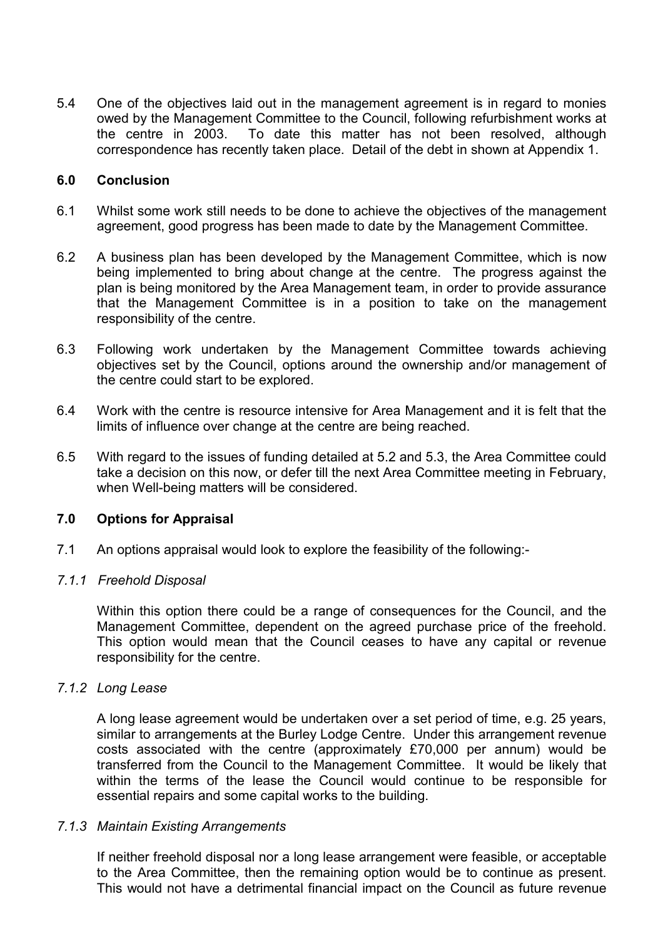5.4 One of the objectives laid out in the management agreement is in regard to monies owed by the Management Committee to the Council, following refurbishment works at the centre in 2003. To date this matter has not been resolved, although correspondence has recently taken place. Detail of the debt in shown at Appendix 1.

## 6.0 Conclusion

- 6.1 Whilst some work still needs to be done to achieve the objectives of the management agreement, good progress has been made to date by the Management Committee.
- 6.2 A business plan has been developed by the Management Committee, which is now being implemented to bring about change at the centre. The progress against the plan is being monitored by the Area Management team, in order to provide assurance that the Management Committee is in a position to take on the management responsibility of the centre.
- 6.3 Following work undertaken by the Management Committee towards achieving objectives set by the Council, options around the ownership and/or management of the centre could start to be explored.
- 6.4 Work with the centre is resource intensive for Area Management and it is felt that the limits of influence over change at the centre are being reached.
- 6.5 With regard to the issues of funding detailed at 5.2 and 5.3, the Area Committee could take a decision on this now, or defer till the next Area Committee meeting in February, when Well-being matters will be considered.

### 7.0 Options for Appraisal

7.1 An options appraisal would look to explore the feasibility of the following:-

#### 7.1.1 Freehold Disposal

Within this option there could be a range of consequences for the Council, and the Management Committee, dependent on the agreed purchase price of the freehold. This option would mean that the Council ceases to have any capital or revenue responsibility for the centre.

#### 7.1.2 Long Lease

A long lease agreement would be undertaken over a set period of time, e.g. 25 years, similar to arrangements at the Burley Lodge Centre. Under this arrangement revenue costs associated with the centre (approximately £70,000 per annum) would be transferred from the Council to the Management Committee. It would be likely that within the terms of the lease the Council would continue to be responsible for essential repairs and some capital works to the building.

#### 7.1.3 Maintain Existing Arrangements

If neither freehold disposal nor a long lease arrangement were feasible, or acceptable to the Area Committee, then the remaining option would be to continue as present. This would not have a detrimental financial impact on the Council as future revenue